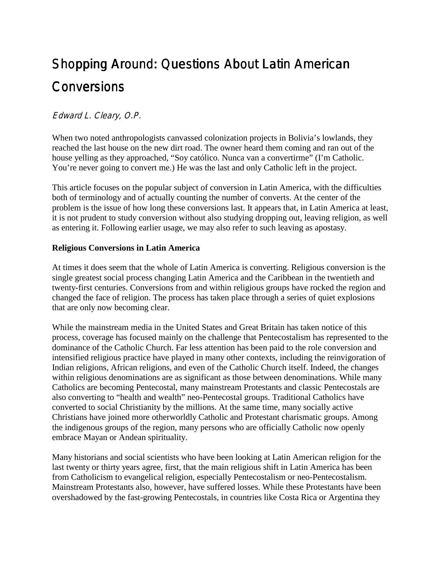# Shopping Around: Questions About Latin American **Conversions**

# Edward L. Cleary, O.P.

When two noted anthropologists canvassed colonization projects in Bolivia's lowlands, they reached the last house on the new dirt road. The owner heard them coming and ran out of the house yelling as they approached, "Soy católico. Nunca van a convertirme" (I'm Catholic. You're never going to convert me.) He was the last and only Catholic left in the project.

This article focuses on the popular subject of conversion in Latin America, with the difficulties both of terminology and of actually counting the number of converts. At the center of the problem is the issue of how long these conversions last. It appears that, in Latin America at least, it is not prudent to study conversion without also studying dropping out, leaving religion, as well as entering it. Following earlier usage, we may also refer to such leaving as apostasy.

#### **Religious Conversions in Latin America**

At times it does seem that the whole of Latin America is converting. Religious conversion is the single greatest social process changing Latin America and the Caribbean in the twentieth and twenty-first centuries. Conversions from and within religious groups have rocked the region and changed the face of religion. The process has taken place through a series of quiet explosions that are only now becoming clear.

While the mainstream media in the United States and Great Britain has taken notice of this process, coverage has focused mainly on the challenge that Pentecostalism has represented to the dominance of the Catholic Church. Far less attention has been paid to the role conversion and intensified religious practice have played in many other contexts, including the reinvigoration of Indian religions, African religions, and even of the Catholic Church itself. Indeed, the changes within religious denominations are as significant as those between denominations. While many Catholics are becoming Pentecostal, many mainstream Protestants and classic Pentecostals are also converting to "health and wealth" neo-Pentecostal groups. Traditional Catholics have converted to social Christianity by the millions. At the same time, many socially active Christians have joined more otherworldly Catholic and Protestant charismatic groups. Among the indigenous groups of the region, many persons who are officially Catholic now openly embrace Mayan or Andean spirituality.

Many historians and social scientists who have been looking at Latin American religion for the last twenty or thirty years agree, first, that the main religious shift in Latin America has been from Catholicism to evangelical religion, especially Pentecostalism or neo-Pentecostalism. Mainstream Protestants also, however, have suffered losses. While these Protestants have been overshadowed by the fast-growing Pentecostals, in countries like Costa Rica or Argentina they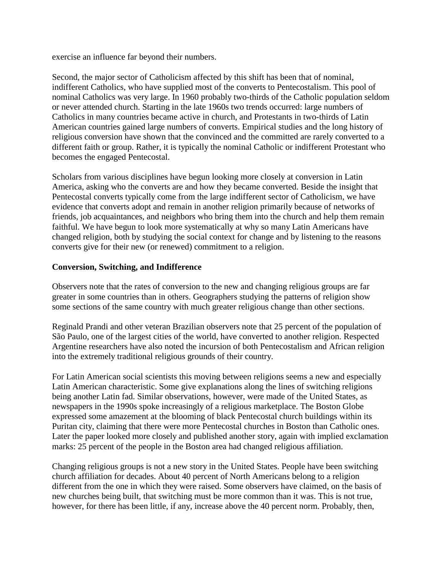exercise an influence far beyond their numbers.

Second, the major sector of Catholicism affected by this shift has been that of nominal, indifferent Catholics, who have supplied most of the converts to Pentecostalism. This pool of nominal Catholics was very large. In 1960 probably two-thirds of the Catholic population seldom or never attended church. Starting in the late 1960s two trends occurred: large numbers of Catholics in many countries became active in church, and Protestants in two-thirds of Latin American countries gained large numbers of converts. Empirical studies and the long history of religious conversion have shown that the convinced and the committed are rarely converted to a different faith or group. Rather, it is typically the nominal Catholic or indifferent Protestant who becomes the engaged Pentecostal.

Scholars from various disciplines have begun looking more closely at conversion in Latin America, asking who the converts are and how they became converted. Beside the insight that Pentecostal converts typically come from the large indifferent sector of Catholicism, we have evidence that converts adopt and remain in another religion primarily because of networks of friends, job acquaintances, and neighbors who bring them into the church and help them remain faithful. We have begun to look more systematically at why so many Latin Americans have changed religion, both by studying the social context for change and by listening to the reasons converts give for their new (or renewed) commitment to a religion.

#### **Conversion, Switching, and Indifference**

Observers note that the rates of conversion to the new and changing religious groups are far greater in some countries than in others. Geographers studying the patterns of religion show some sections of the same country with much greater religious change than other sections.

Reginald Prandi and other veteran Brazilian observers note that 25 percent of the population of São Paulo, one of the largest cities of the world, have converted to another religion. Respected Argentine researchers have also noted the incursion of both Pentecostalism and African religion into the extremely traditional religious grounds of their country.

For Latin American social scientists this moving between religions seems a new and especially Latin American characteristic. Some give explanations along the lines of switching religions being another Latin fad. Similar observations, however, were made of the United States, as newspapers in the 1990s spoke increasingly of a religious marketplace. The Boston Globe expressed some amazement at the blooming of black Pentecostal church buildings within its Puritan city, claiming that there were more Pentecostal churches in Boston than Catholic ones. Later the paper looked more closely and published another story, again with implied exclamation marks: 25 percent of the people in the Boston area had changed religious affiliation.

Changing religious groups is not a new story in the United States. People have been switching church affiliation for decades. About 40 percent of North Americans belong to a religion different from the one in which they were raised. Some observers have claimed, on the basis of new churches being built, that switching must be more common than it was. This is not true, however, for there has been little, if any, increase above the 40 percent norm. Probably, then,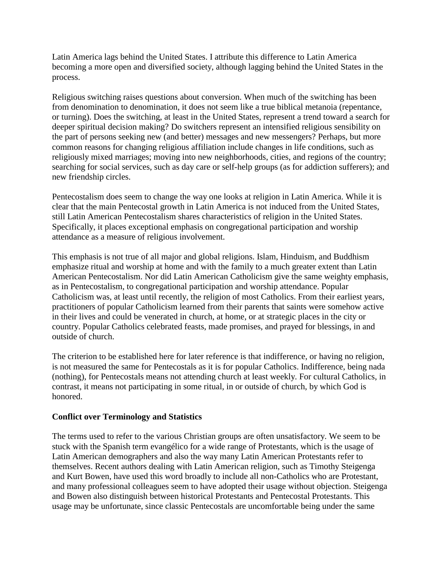Latin America lags behind the United States. I attribute this difference to Latin America becoming a more open and diversified society, although lagging behind the United States in the process.

Religious switching raises questions about conversion. When much of the switching has been from denomination to denomination, it does not seem like a true biblical metanoia (repentance, or turning). Does the switching, at least in the United States, represent a trend toward a search for deeper spiritual decision making? Do switchers represent an intensified religious sensibility on the part of persons seeking new (and better) messages and new messengers? Perhaps, but more common reasons for changing religious affiliation include changes in life conditions, such as religiously mixed marriages; moving into new neighborhoods, cities, and regions of the country; searching for social services, such as day care or self-help groups (as for addiction sufferers); and new friendship circles.

Pentecostalism does seem to change the way one looks at religion in Latin America. While it is clear that the main Pentecostal growth in Latin America is not induced from the United States, still Latin American Pentecostalism shares characteristics of religion in the United States. Specifically, it places exceptional emphasis on congregational participation and worship attendance as a measure of religious involvement.

This emphasis is not true of all major and global religions. Islam, Hinduism, and Buddhism emphasize ritual and worship at home and with the family to a much greater extent than Latin American Pentecostalism. Nor did Latin American Catholicism give the same weighty emphasis, as in Pentecostalism, to congregational participation and worship attendance. Popular Catholicism was, at least until recently, the religion of most Catholics. From their earliest years, practitioners of popular Catholicism learned from their parents that saints were somehow active in their lives and could be venerated in church, at home, or at strategic places in the city or country. Popular Catholics celebrated feasts, made promises, and prayed for blessings, in and outside of church.

The criterion to be established here for later reference is that indifference, or having no religion, is not measured the same for Pentecostals as it is for popular Catholics. Indifference, being nada (nothing), for Pentecostals means not attending church at least weekly. For cultural Catholics, in contrast, it means not participating in some ritual, in or outside of church, by which God is honored.

# **Conflict over Terminology and Statistics**

The terms used to refer to the various Christian groups are often unsatisfactory. We seem to be stuck with the Spanish term evangélico for a wide range of Protestants, which is the usage of Latin American demographers and also the way many Latin American Protestants refer to themselves. Recent authors dealing with Latin American religion, such as Timothy Steigenga and Kurt Bowen, have used this word broadly to include all non-Catholics who are Protestant, and many professional colleagues seem to have adopted their usage without objection. Steigenga and Bowen also distinguish between historical Protestants and Pentecostal Protestants. This usage may be unfortunate, since classic Pentecostals are uncomfortable being under the same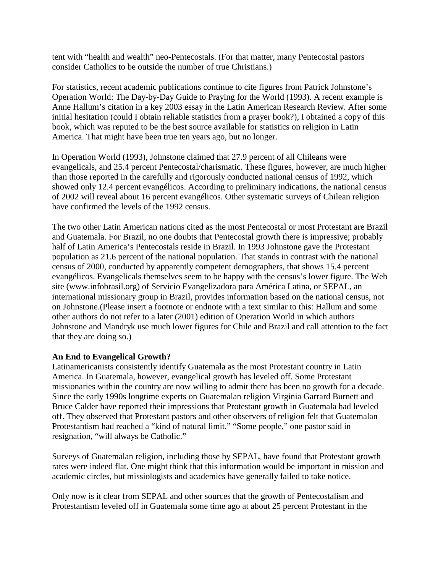tent with "health and wealth" neo-Pentecostals. (For that matter, many Pentecostal pastors consider Catholics to be outside the number of true Christians.)

For statistics, recent academic publications continue to cite figures from Patrick Johnstone's Operation World: The Day-by-Day Guide to Praying for the World (1993). A recent example is Anne Hallum's citation in a key 2003 essay in the Latin American Research Review. After some initial hesitation (could I obtain reliable statistics from a prayer book?), I obtained a copy of this book, which was reputed to be the best source available for statistics on religion in Latin America. That might have been true ten years ago, but no longer.

In Operation World (1993), Johnstone claimed that 27.9 percent of all Chileans were evangelicals, and 25.4 percent Pentecostal/charismatic. These figures, however, are much higher than those reported in the carefully and rigorously conducted national census of 1992, which showed only 12.4 percent evangélicos. According to preliminary indications, the national census of 2002 will reveal about 16 percent evangélicos. Other systematic surveys of Chilean religion have confirmed the levels of the 1992 census.

The two other Latin American nations cited as the most Pentecostal or most Protestant are Brazil and Guatemala. For Brazil, no one doubts that Pentecostal growth there is impressive; probably half of Latin America's Pentecostals reside in Brazil. In 1993 Johnstone gave the Protestant population as 21.6 percent of the national population. That stands in contrast with the national census of 2000, conducted by apparently competent demographers, that shows 15.4 percent evangélicos. Evangelicals themselves seem to be happy with the census's lower figure. The Web site (www.infobrasil.org) of Servicio Evangelizadora para América Latina, or SEPAL, an international missionary group in Brazil, provides information based on the national census, not on Johnstone.(Please insert a footnote or endnote with a text similar to this: Hallum and some other authors do not refer to a later (2001) edition of Operation World in which authors Johnstone and Mandryk use much lower figures for Chile and Brazil and call attention to the fact that they are doing so.)

# **An End to Evangelical Growth?**

Latinamericanists consistently identify Guatemala as the most Protestant country in Latin America. In Guatemala, however, evangelical growth has leveled off. Some Protestant missionaries within the country are now willing to admit there has been no growth for a decade. Since the early 1990s longtime experts on Guatemalan religion Virginia Garrard Burnett and Bruce Calder have reported their impressions that Protestant growth in Guatemala had leveled off. They observed that Protestant pastors and other observers of religion felt that Guatemalan Protestantism had reached a "kind of natural limit." "Some people," one pastor said in resignation, "will always be Catholic."

Surveys of Guatemalan religion, including those by SEPAL, have found that Protestant growth rates were indeed flat. One might think that this information would be important in mission and academic circles, but missiologists and academics have generally failed to take notice.

Only now is it clear from SEPAL and other sources that the growth of Pentecostalism and Protestantism leveled off in Guatemala some time ago at about 25 percent Protestant in the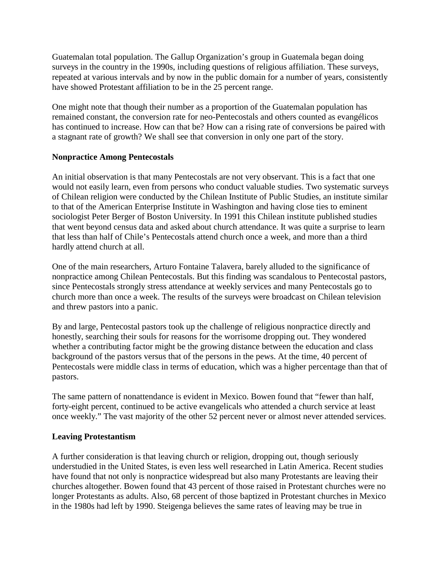Guatemalan total population. The Gallup Organization's group in Guatemala began doing surveys in the country in the 1990s, including questions of religious affiliation. These surveys, repeated at various intervals and by now in the public domain for a number of years, consistently have showed Protestant affiliation to be in the 25 percent range.

One might note that though their number as a proportion of the Guatemalan population has remained constant, the conversion rate for neo-Pentecostals and others counted as evangélicos has continued to increase. How can that be? How can a rising rate of conversions be paired with a stagnant rate of growth? We shall see that conversion in only one part of the story.

#### **Nonpractice Among Pentecostals**

An initial observation is that many Pentecostals are not very observant. This is a fact that one would not easily learn, even from persons who conduct valuable studies. Two systematic surveys of Chilean religion were conducted by the Chilean Institute of Public Studies, an institute similar to that of the American Enterprise Institute in Washington and having close ties to eminent sociologist Peter Berger of Boston University. In 1991 this Chilean institute published studies that went beyond census data and asked about church attendance. It was quite a surprise to learn that less than half of Chile's Pentecostals attend church once a week, and more than a third hardly attend church at all.

One of the main researchers, Arturo Fontaine Talavera, barely alluded to the significance of nonpractice among Chilean Pentecostals. But this finding was scandalous to Pentecostal pastors, since Pentecostals strongly stress attendance at weekly services and many Pentecostals go to church more than once a week. The results of the surveys were broadcast on Chilean television and threw pastors into a panic.

By and large, Pentecostal pastors took up the challenge of religious nonpractice directly and honestly, searching their souls for reasons for the worrisome dropping out. They wondered whether a contributing factor might be the growing distance between the education and class background of the pastors versus that of the persons in the pews. At the time, 40 percent of Pentecostals were middle class in terms of education, which was a higher percentage than that of pastors.

The same pattern of nonattendance is evident in Mexico. Bowen found that "fewer than half, forty-eight percent, continued to be active evangelicals who attended a church service at least once weekly." The vast majority of the other 52 percent never or almost never attended services.

#### **Leaving Protestantism**

A further consideration is that leaving church or religion, dropping out, though seriously understudied in the United States, is even less well researched in Latin America. Recent studies have found that not only is nonpractice widespread but also many Protestants are leaving their churches altogether. Bowen found that 43 percent of those raised in Protestant churches were no longer Protestants as adults. Also, 68 percent of those baptized in Protestant churches in Mexico in the 1980s had left by 1990. Steigenga believes the same rates of leaving may be true in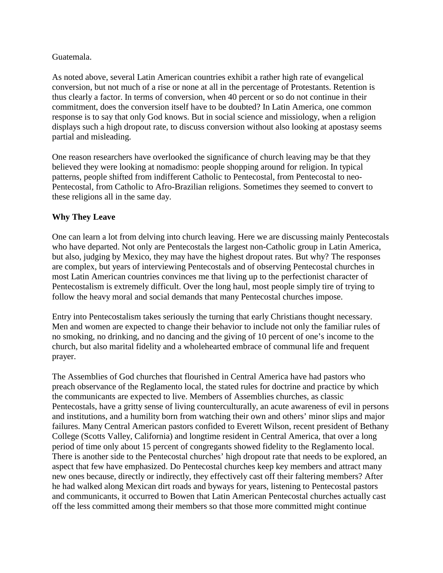#### Guatemala.

As noted above, several Latin American countries exhibit a rather high rate of evangelical conversion, but not much of a rise or none at all in the percentage of Protestants. Retention is thus clearly a factor. In terms of conversion, when 40 percent or so do not continue in their commitment, does the conversion itself have to be doubted? In Latin America, one common response is to say that only God knows. But in social science and missiology, when a religion displays such a high dropout rate, to discuss conversion without also looking at apostasy seems partial and misleading.

One reason researchers have overlooked the significance of church leaving may be that they believed they were looking at nomadismo: people shopping around for religion. In typical patterns, people shifted from indifferent Catholic to Pentecostal, from Pentecostal to neo-Pentecostal, from Catholic to Afro-Brazilian religions. Sometimes they seemed to convert to these religions all in the same day.

# **Why They Leave**

One can learn a lot from delving into church leaving. Here we are discussing mainly Pentecostals who have departed. Not only are Pentecostals the largest non-Catholic group in Latin America, but also, judging by Mexico, they may have the highest dropout rates. But why? The responses are complex, but years of interviewing Pentecostals and of observing Pentecostal churches in most Latin American countries convinces me that living up to the perfectionist character of Pentecostalism is extremely difficult. Over the long haul, most people simply tire of trying to follow the heavy moral and social demands that many Pentecostal churches impose.

Entry into Pentecostalism takes seriously the turning that early Christians thought necessary. Men and women are expected to change their behavior to include not only the familiar rules of no smoking, no drinking, and no dancing and the giving of 10 percent of one's income to the church, but also marital fidelity and a wholehearted embrace of communal life and frequent prayer.

The Assemblies of God churches that flourished in Central America have had pastors who preach observance of the Reglamento local, the stated rules for doctrine and practice by which the communicants are expected to live. Members of Assemblies churches, as classic Pentecostals, have a gritty sense of living counterculturally, an acute awareness of evil in persons and institutions, and a humility born from watching their own and others' minor slips and major failures. Many Central American pastors confided to Everett Wilson, recent president of Bethany College (Scotts Valley, California) and longtime resident in Central America, that over a long period of time only about 15 percent of congregants showed fidelity to the Reglamento local. There is another side to the Pentecostal churches' high dropout rate that needs to be explored, an aspect that few have emphasized. Do Pentecostal churches keep key members and attract many new ones because, directly or indirectly, they effectively cast off their faltering members? After he had walked along Mexican dirt roads and byways for years, listening to Pentecostal pastors and communicants, it occurred to Bowen that Latin American Pentecostal churches actually cast off the less committed among their members so that those more committed might continue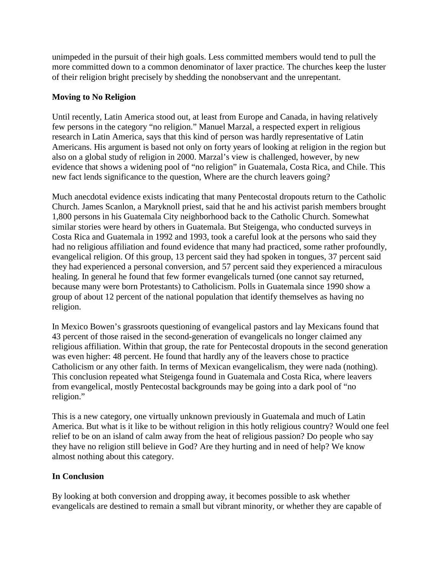unimpeded in the pursuit of their high goals. Less committed members would tend to pull the more committed down to a common denominator of laxer practice. The churches keep the luster of their religion bright precisely by shedding the nonobservant and the unrepentant.

# **Moving to No Religion**

Until recently, Latin America stood out, at least from Europe and Canada, in having relatively few persons in the category "no religion." Manuel Marzal, a respected expert in religious research in Latin America, says that this kind of person was hardly representative of Latin Americans. His argument is based not only on forty years of looking at religion in the region but also on a global study of religion in 2000. Marzal's view is challenged, however, by new evidence that shows a widening pool of "no religion" in Guatemala, Costa Rica, and Chile. This new fact lends significance to the question, Where are the church leavers going?

Much anecdotal evidence exists indicating that many Pentecostal dropouts return to the Catholic Church. James Scanlon, a Maryknoll priest, said that he and his activist parish members brought 1,800 persons in his Guatemala City neighborhood back to the Catholic Church. Somewhat similar stories were heard by others in Guatemala. But Steigenga, who conducted surveys in Costa Rica and Guatemala in 1992 and 1993, took a careful look at the persons who said they had no religious affiliation and found evidence that many had practiced, some rather profoundly, evangelical religion. Of this group, 13 percent said they had spoken in tongues, 37 percent said they had experienced a personal conversion, and 57 percent said they experienced a miraculous healing. In general he found that few former evangelicals turned (one cannot say returned, because many were born Protestants) to Catholicism. Polls in Guatemala since 1990 show a group of about 12 percent of the national population that identify themselves as having no religion.

In Mexico Bowen's grassroots questioning of evangelical pastors and lay Mexicans found that 43 percent of those raised in the second-generation of evangelicals no longer claimed any religious affiliation. Within that group, the rate for Pentecostal dropouts in the second generation was even higher: 48 percent. He found that hardly any of the leavers chose to practice Catholicism or any other faith. In terms of Mexican evangelicalism, they were nada (nothing). This conclusion repeated what Steigenga found in Guatemala and Costa Rica, where leavers from evangelical, mostly Pentecostal backgrounds may be going into a dark pool of "no religion."

This is a new category, one virtually unknown previously in Guatemala and much of Latin America. But what is it like to be without religion in this hotly religious country? Would one feel relief to be on an island of calm away from the heat of religious passion? Do people who say they have no religion still believe in God? Are they hurting and in need of help? We know almost nothing about this category.

# **In Conclusion**

By looking at both conversion and dropping away, it becomes possible to ask whether evangelicals are destined to remain a small but vibrant minority, or whether they are capable of